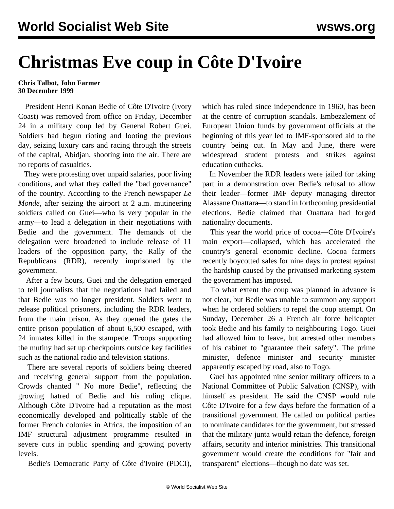## **Christmas Eve coup in Côte D'Ivoire**

## **Chris Talbot, John Farmer 30 December 1999**

 President Henri Konan Bedie of Côte D'Ivoire (Ivory Coast) was removed from office on Friday, December 24 in a military coup led by General Robert Guei. Soldiers had begun rioting and looting the previous day, seizing luxury cars and racing through the streets of the capital, Abidjan, shooting into the air. There are no reports of casualties.

 They were protesting over unpaid salaries, poor living conditions, and what they called the "bad governance" of the country. According to the French newspaper *Le Monde*, after seizing the airport at 2 a.m. mutineering soldiers called on Guei—who is very popular in the army—to lead a delegation in their negotiations with Bedie and the government. The demands of the delegation were broadened to include release of 11 leaders of the opposition party, the Rally of the Republicans (RDR), recently imprisoned by the government.

 After a few hours, Guei and the delegation emerged to tell journalists that the negotiations had failed and that Bedie was no longer president. Soldiers went to release political prisoners, including the RDR leaders, from the main prison. As they opened the gates the entire prison population of about 6,500 escaped, with 24 inmates killed in the stampede. Troops supporting the mutiny had set up checkpoints outside key facilities such as the national radio and television stations.

 There are several reports of soldiers being cheered and receiving general support from the population. Crowds chanted " No more Bedie", reflecting the growing hatred of Bedie and his ruling clique. Although Côte D'Ivoire had a reputation as the most economically developed and politically stable of the former French colonies in Africa, the imposition of an IMF structural adjustment programme resulted in severe cuts in public spending and growing poverty levels.

Bedie's Democratic Party of Côte d'Ivoire (PDCI),

which has ruled since independence in 1960, has been at the centre of corruption scandals. Embezzlement of European Union funds by government officials at the beginning of this year led to IMF-sponsored aid to the country being cut. In May and June, there were widespread student protests and strikes against education cutbacks.

 In November the RDR leaders were jailed for taking part in a demonstration over Bedie's refusal to allow their leader—former IMF deputy managing director Alassane Ouattara—to stand in forthcoming presidential elections. Bedie claimed that Ouattara had forged nationality documents.

 This year the world price of cocoa—Côte D'Ivoire's main export—collapsed, which has accelerated the country's general economic decline. Cocoa farmers recently boycotted sales for nine days in protest against the hardship caused by the privatised marketing system the government has imposed.

 To what extent the coup was planned in advance is not clear, but Bedie was unable to summon any support when he ordered soldiers to repel the coup attempt. On Sunday, December 26 a French air force helicopter took Bedie and his family to neighbouring Togo. Guei had allowed him to leave, but arrested other members of his cabinet to "guarantee their safety". The prime minister, defence minister and security minister apparently escaped by road, also to Togo.

 Guei has appointed nine senior military officers to a National Committee of Public Salvation (CNSP), with himself as president. He said the CNSP would rule Côte D'Ivoire for a few days before the formation of a transitional government. He called on political parties to nominate candidates for the government, but stressed that the military junta would retain the defence, foreign affairs, security and interior ministries. This transitional government would create the conditions for "fair and transparent" elections—though no date was set.